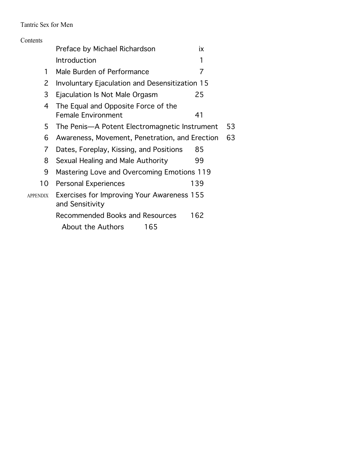# Tantric Sex for Men

## Contents

|                           | Preface by Michael Richardson                                    | ix  |    |
|---------------------------|------------------------------------------------------------------|-----|----|
|                           | Introduction                                                     | 1   |    |
| 1                         | Male Burden of Performance                                       | 7   |    |
| $\mathsf{2}^{\mathsf{1}}$ | Involuntary Ejaculation and Desensitization 15                   |     |    |
| 3                         | Ejaculation Is Not Male Orgasm                                   | 25  |    |
| 4                         | The Equal and Opposite Force of the<br><b>Female Environment</b> | 41  |    |
| 5.                        | The Penis-A Potent Electromagnetic Instrument                    |     | 53 |
| 6                         | Awareness, Movement, Penetration, and Erection                   |     | 63 |
| 7                         | Dates, Foreplay, Kissing, and Positions                          | 85  |    |
| 8                         | Sexual Healing and Male Authority                                | 99  |    |
| 9                         | Mastering Love and Overcoming Emotions 119                       |     |    |
| 10 <sup>°</sup>           | <b>Personal Experiences</b>                                      | 139 |    |
| <b>APPENDIX</b>           | Exercises for Improving Your Awareness 155<br>and Sensitivity    |     |    |
|                           | <b>Recommended Books and Resources</b>                           | 162 |    |
|                           | About the Authors<br>165                                         |     |    |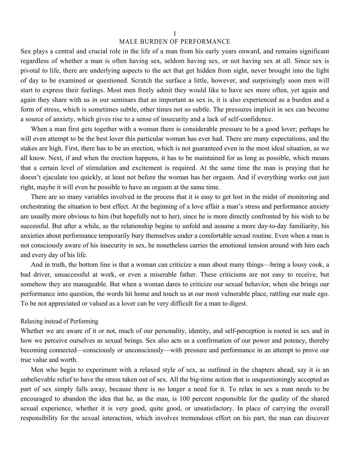1

## MALE BURDEN OF PERFORMANCE

Sex plays a central and crucial role in the life of a man from his early years onward, and remains significant regardless of whether a man is often having sex, seldom having sex, or not having sex at all. Since sex is pivotal to life, there are underlying aspects to the act that get hidden from sight, never brought into the light of day to be examined or questioned. Scratch the surface a little, however, and surprisingly soon men will start to express their feelings. Most men freely admit they would like to have sex more often, yet again and again they share with us in our seminars that as important as sex is, it is also experienced as a burden and a form of stress, which is sometimes subtle, other times not so subtle. The pressures implicit in sex can become a source of anxiety, which gives rise to a sense of insecurity and a lack of self-confidence.

When a man first gets together with a woman there is considerable pressure to be a good lover; perhaps he will even attempt to be the best lover this particular woman has ever had. There are many expectations, and the stakes are high. First, there has to be an erection, which is not guaranteed even in the most ideal situation, as we all know. Next, if and when the erection happens, it has to be maintained for as long as possible, which means that a certain level of stimulation and excitement is required. At the same time the man is praying that he doesn't ejaculate too quickly, at least not before the woman has her orgasm. And if everything works out just right, maybe it will even be possible to have an orgasm at the same time.

There are so many variables involved in the process that it is easy to get lost in the midst of monitoring and orchestrating the situation to best effect. At the beginning of a love affair a man's stress and performance anxiety are usually more obvious to him (but hopefully not to her), since he is more directly confronted by his wish to be successful. But after a while, as the relationship begins to unfold and assume a more day-to-day familiarity, his anxieties about performance temporarily bury themselves under a comfortable sexual routine. Even when a man is not consciously aware of his insecurity in sex, he nonetheless carries the emotional tension around with him each and every day of his life.

And in truth, the bottom line is that a woman can criticize a man about many things—being a lousy cook, a bad driver, unsuccessful at work, or even a miserable father. These criticisms are not easy to receive, but somehow they are manageable. But when a woman dares to criticize our sexual behavior, when she brings our performance into question, the words hit home and touch us at our most vulnerable place, rattling our male ego. To be not appreciated or valued as a lover can be very difficult for a man to digest.

### Relaxing instead of Performing

Whether we are aware of it or not, much of our personality, identity, and self-perception is rooted in sex and in how we perceive ourselves as sexual beings. Sex also acts as a confirmation of our power and potency, thereby becoming connected—consciously or unconsciously—with pressure and performance in an attempt to prove our true value and worth.

Men who begin to experiment with a relaxed style of sex, as outlined in the chapters ahead, say it is an unbelievable relief to have the stress taken out of sex. All the big-time action that is unquestioningly accepted as part of sex simply falls away, because there is no longer a need for it. To relax in sex a man needs to be encouraged to abandon the idea that he, as the man, is 100 percent responsible for the quality of the shared sexual experience, whether it is very good, quite good, or unsatisfactory. In place of carrying the overall responsibility for the sexual interaction, which involves tremendous effort on his part, the man can discover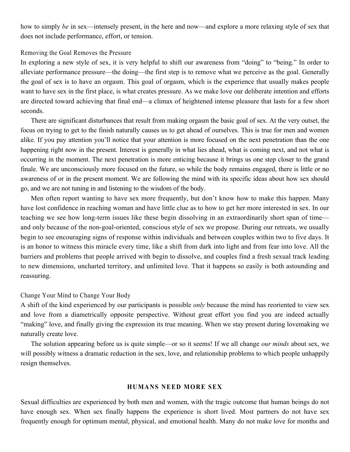how to simply *be* in sex—intensely present, in the here and now—and explore a more relaxing style of sex that does not include performance, effort, or tension.

#### Removing the Goal Removes the Pressure

In exploring a new style of sex, it is very helpful to shift our awareness from "doing" to "being." In order to alleviate performance pressure—the doing—the first step is to remove what we perceive as the goal. Generally the goal of sex is to have an orgasm. This goal of orgasm, which is the experience that usually makes people want to have sex in the first place, is what creates pressure. As we make love our deliberate intention and efforts are directed toward achieving that final end—a climax of heightened intense pleasure that lasts for a few short seconds.

There are significant disturbances that result from making orgasm the basic goal of sex. At the very outset, the focus on trying to get to the finish naturally causes us to get ahead of ourselves. This is true for men and women alike. If you pay attention you'll notice that your attention is more focused on the next penetration than the one happening right now in the present. Interest is generally in what lies ahead, what is coming next, and not what is occurring in the moment. The next penetration is more enticing because it brings us one step closer to the grand finale. We are unconsciously more focused on the future, so while the body remains engaged, there is little or no awareness of or in the present moment. We are following the mind with its specific ideas about how sex should go, and we are not tuning in and listening to the wisdom of the body.

Men often report wanting to have sex more frequently, but don't know how to make this happen. Many have lost confidence in reaching woman and have little clue as to how to get her more interested in sex. In our teaching we see how long-term issues like these begin dissolving in an extraordinarily short span of time and only because of the non-goal-oriented, conscious style of sex we propose. During our retreats, we usually begin to see encouraging signs of response within individuals and between couples within two to five days. It is an honor to witness this miracle every time, like a shift from dark into light and from fear into love. All the barriers and problems that people arrived with begin to dissolve, and couples find a fresh sexual track leading to new dimensions, uncharted territory, and unlimited love. That it happens so easily is both astounding and reassuring.

### Change Your Mind to Change Your Body

A shift of the kind experienced by our participants is possible *only* because the mind has reoriented to view sex and love from a diametrically opposite perspective. Without great effort you find you are indeed actually "making" love, and finally giving the expression its true meaning. When we stay present during lovemaking we naturally create love.

The solution appearing before us is quite simple—or so it seems! If we all change *our minds* about sex, we will possibly witness a dramatic reduction in the sex, love, and relationship problems to which people unhappily resign themselves.

### **HUMANS NEED MORE SEX**

Sexual difficulties are experienced by both men and women, with the tragic outcome that human beings do not have enough sex. When sex finally happens the experience is short lived. Most partners do not have sex frequently enough for optimum mental, physical, and emotional health. Many do not make love for months and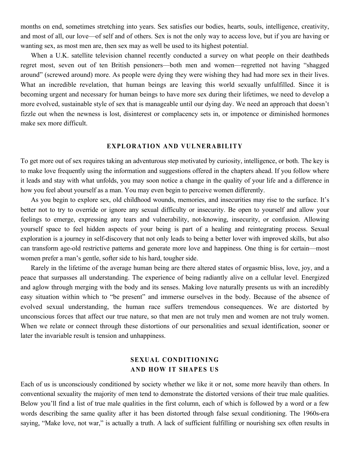months on end, sometimes stretching into years. Sex satisfies our bodies, hearts, souls, intelligence, creativity, and most of all, our love—of self and of others. Sex is not the only way to access love, but if you are having or wanting sex, as most men are, then sex may as well be used to its highest potential.

When a U.K. satellite television channel recently conducted a survey on what people on their deathbeds regret most, seven out of ten British pensioners—both men and women—regretted not having "shagged around" (screwed around) more. As people were dying they were wishing they had had more sex in their lives. What an incredible revelation, that human beings are leaving this world sexually unfulfilled. Since it is becoming urgent and necessary for human beings to have more sex during their lifetimes, we need to develop a more evolved, sustainable style of sex that is manageable until our dying day. We need an approach that doesn't fizzle out when the newness is lost, disinterest or complacency sets in, or impotence or diminished hormones make sex more difficult.

#### **EXPLORATION AND VULNERABILITY**

To get more out of sex requires taking an adventurous step motivated by curiosity, intelligence, or both. The key is to make love frequently using the information and suggestions offered in the chapters ahead. If you follow where it leads and stay with what unfolds, you may soon notice a change in the quality of your life and a difference in how you feel about yourself as a man. You may even begin to perceive women differently.

As you begin to explore sex, old childhood wounds, memories, and insecurities may rise to the surface. It's better not to try to override or ignore any sexual difficulty or insecurity. Be open to yourself and allow your feelings to emerge, expressing any tears and vulnerability, not-knowing, insecurity, or confusion. Allowing yourself space to feel hidden aspects of your being is part of a healing and reintegrating process. Sexual exploration is a journey in self-discovery that not only leads to being a better lover with improved skills, but also can transform age-old restrictive patterns and generate more love and happiness. One thing is for certain—most women prefer a man's gentle, softer side to his hard, tougher side.

Rarely in the lifetime of the average human being are there altered states of orgasmic bliss, love, joy, and a peace that surpasses all understanding. The experience of being radiantly alive on a cellular level. Energized and aglow through merging with the body and its senses. Making love naturally presents us with an incredibly easy situation within which to "be present" and immerse ourselves in the body. Because of the absence of evolved sexual understanding, the human race suffers tremendous consequences. We are distorted by unconscious forces that affect our true nature, so that men are not truly men and women are not truly women. When we relate or connect through these distortions of our personalities and sexual identification, sooner or later the invariable result is tension and unhappiness.

## **SEXUAL CONDITIONING AND HOW IT SHAPES US**

Each of us is unconsciously conditioned by society whether we like it or not, some more heavily than others. In conventional sexuality the majority of men tend to demonstrate the distorted versions of their true male qualities. Below you'll find a list of true male qualities in the first column, each of which is followed by a word or a few words describing the same quality after it has been distorted through false sexual conditioning. The 1960s-era saying, "Make love, not war," is actually a truth. A lack of sufficient fulfilling or nourishing sex often results in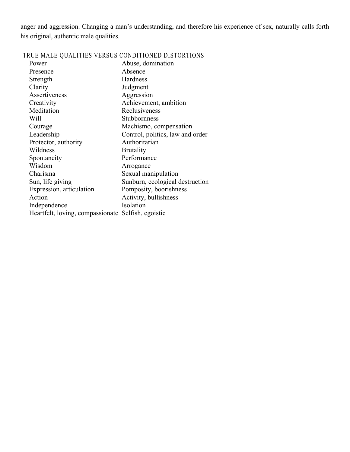anger and aggression. Changing a man's understanding, and therefore his experience of sex, naturally calls forth his original, authentic male qualities.

| TRUE MALE QUALITIES VERSUS CONDITIONED DISTORTIONS |                                                    |                                  |  |
|----------------------------------------------------|----------------------------------------------------|----------------------------------|--|
|                                                    | Power                                              | Abuse, domination                |  |
|                                                    | Presence                                           | Absence                          |  |
|                                                    | Strength                                           | Hardness                         |  |
|                                                    | Clarity                                            | Judgment                         |  |
|                                                    | Assertiveness                                      | Aggression                       |  |
|                                                    | Creativity                                         | Achievement, ambition            |  |
|                                                    | Meditation                                         | Reclusiveness                    |  |
|                                                    | Will                                               | Stubbornness                     |  |
|                                                    | Courage                                            | Machismo, compensation           |  |
|                                                    | Leadership                                         | Control, politics, law and order |  |
|                                                    | Protector, authority                               | Authoritarian                    |  |
|                                                    | Wildness                                           | <b>Brutality</b>                 |  |
|                                                    | Spontaneity                                        | Performance                      |  |
|                                                    | Wisdom                                             | Arrogance                        |  |
|                                                    | Charisma                                           | Sexual manipulation              |  |
|                                                    | Sun, life giving                                   | Sunburn, ecological destruction  |  |
|                                                    | Expression, articulation                           | Pomposity, boorishness           |  |
|                                                    | Action                                             | Activity, bullishness            |  |
|                                                    | Independence                                       | Isolation                        |  |
|                                                    | Heartfelt, loving, compassionate Selfish, egoistic |                                  |  |
|                                                    |                                                    |                                  |  |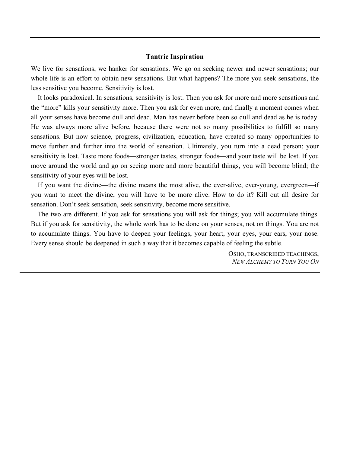#### **Tantric Inspiration**

We live for sensations, we hanker for sensations. We go on seeking newer and newer sensations; our whole life is an effort to obtain new sensations. But what happens? The more you seek sensations, the less sensitive you become. Sensitivity is lost.

It looks paradoxical. In sensations, sensitivity is lost. Then you ask for more and more sensations and the "more" kills your sensitivity more. Then you ask for even more, and finally a moment comes when all your senses have become dull and dead. Man has never before been so dull and dead as he is today. He was always more alive before, because there were not so many possibilities to fulfill so many sensations. But now science, progress, civilization, education, have created so many opportunities to move further and further into the world of sensation. Ultimately, you turn into a dead person; your sensitivity is lost. Taste more foods—stronger tastes, stronger foods—and your taste will be lost. If you move around the world and go on seeing more and more beautiful things, you will become blind; the sensitivity of your eyes will be lost.

If you want the divine—the divine means the most alive, the ever-alive, ever-young, evergreen—if you want to meet the divine, you will have to be more alive. How to do it? Kill out all desire for sensation. Don't seek sensation, seek sensitivity, become more sensitive.

The two are different. If you ask for sensations you will ask for things; you will accumulate things. But if you ask for sensitivity, the whole work has to be done on your senses, not on things. You are not to accumulate things. You have to deepen your feelings, your heart, your eyes, your ears, your nose. Every sense should be deepened in such a way that it becomes capable of feeling the subtle.

> OSHO, TRANSCRIBED TEACHINGS, *NEW ALCHEMY TO TURN YOU ON*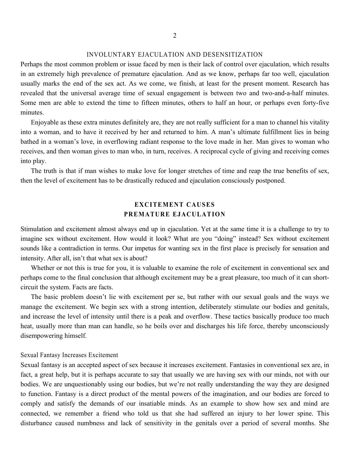### INVOLUNTARY EJACULATION AND DESENSITIZATION

Perhaps the most common problem or issue faced by men is their lack of control over ejaculation, which results in an extremely high prevalence of premature ejaculation. And as we know, perhaps far too well, ejaculation usually marks the end of the sex act. As we come, we finish, at least for the present moment. Research has revealed that the universal average time of sexual engagement is between two and two-and-a-half minutes. Some men are able to extend the time to fifteen minutes, others to half an hour, or perhaps even forty-five minutes.

Enjoyable as these extra minutes definitely are, they are not really sufficient for a man to channel his vitality into a woman, and to have it received by her and returned to him. A man's ultimate fulfillment lies in being bathed in a woman's love, in overflowing radiant response to the love made in her. Man gives to woman who receives, and then woman gives to man who, in turn, receives. A reciprocal cycle of giving and receiving comes into play.

The truth is that if man wishes to make love for longer stretches of time and reap the true benefits of sex, then the level of excitement has to be drastically reduced and ejaculation consciously postponed.

## **EXCITEMENT CAUSES PREMATURE EJACULATION**

Stimulation and excitement almost always end up in ejaculation. Yet at the same time it is a challenge to try to imagine sex without excitement. How would it look? What are you "doing" instead? Sex without excitement sounds like a contradiction in terms. Our impetus for wanting sex in the first place is precisely for sensation and intensity. After all, isn't that what sex is about?

Whether or not this is true for you, it is valuable to examine the role of excitement in conventional sex and perhaps come to the final conclusion that although excitement may be a great pleasure, too much of it can shortcircuit the system. Facts are facts.

The basic problem doesn't lie with excitement per se, but rather with our sexual goals and the ways we manage the excitement. We begin sex with a strong intention, deliberately stimulate our bodies and genitals, and increase the level of intensity until there is a peak and overflow. These tactics basically produce too much heat, usually more than man can handle, so he boils over and discharges his life force, thereby unconsciously disempowering himself.

#### Sexual Fantasy Increases Excitement

Sexual fantasy is an accepted aspect of sex because it increases excitement. Fantasies in conventional sex are, in fact, a great help, but it is perhaps accurate to say that usually we are having sex with our minds, not with our bodies. We are unquestionably using our bodies, but we're not really understanding the way they are designed to function. Fantasy is a direct product of the mental powers of the imagination, and our bodies are forced to comply and satisfy the demands of our insatiable minds. As an example to show how sex and mind are connected, we remember a friend who told us that she had suffered an injury to her lower spine. This disturbance caused numbness and lack of sensitivity in the genitals over a period of several months. She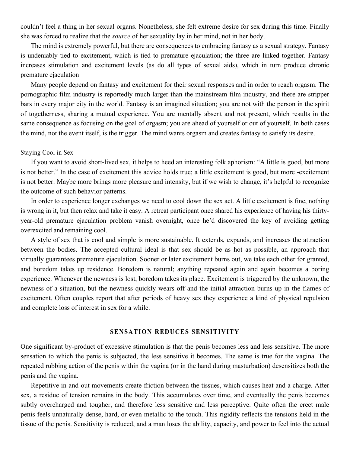couldn't feel a thing in her sexual organs. Nonetheless, she felt extreme desire for sex during this time. Finally she was forced to realize that the *source* of her sexuality lay in her mind, not in her body.

The mind is extremely powerful, but there are consequences to embracing fantasy as a sexual strategy. Fantasy is undeniably tied to excitement, which is tied to premature ejaculation; the three are linked together. Fantasy increases stimulation and excitement levels (as do all types of sexual aids), which in turn produce chronic premature ejaculation

Many people depend on fantasy and excitement for their sexual responses and in order to reach orgasm. The pornographic film industry is reportedly much larger than the mainstream film industry, and there are stripper bars in every major city in the world. Fantasy is an imagined situation; you are not with the person in the spirit of togetherness, sharing a mutual experience. You are mentally absent and not present, which results in the same consequence as focusing on the goal of orgasm; you are ahead of yourself or out of yourself. In both cases the mind, not the event itself, is the trigger. The mind wants orgasm and creates fantasy to satisfy its desire.

#### Staying Cool in Sex

If you want to avoid short-lived sex, it helps to heed an interesting folk aphorism: "A little is good, but more is not better." In the case of excitement this advice holds true; a little excitement is good, but more -excitement is not better. Maybe more brings more pleasure and intensity, but if we wish to change, it's helpful to recognize the outcome of such behavior patterns.

In order to experience longer exchanges we need to cool down the sex act. A little excitement is fine, nothing is wrong in it, but then relax and take it easy. A retreat participant once shared his experience of having his thirtyyear-old premature ejaculation problem vanish overnight, once he'd discovered the key of avoiding getting overexcited and remaining cool.

A style of sex that is cool and simple is more sustainable. It extends, expands, and increases the attraction between the bodies. The accepted cultural ideal is that sex should be as hot as possible, an approach that virtually guarantees premature ejaculation. Sooner or later excitement burns out, we take each other for granted, and boredom takes up residence. Boredom is natural; anything repeated again and again becomes a boring experience. Whenever the newness is lost, boredom takes its place. Excitement is triggered by the unknown, the newness of a situation, but the newness quickly wears off and the initial attraction burns up in the flames of excitement. Often couples report that after periods of heavy sex they experience a kind of physical repulsion and complete loss of interest in sex for a while.

#### **SENSATION REDUCES SENSITIVITY**

One significant by-product of excessive stimulation is that the penis becomes less and less sensitive. The more sensation to which the penis is subjected, the less sensitive it becomes. The same is true for the vagina. The repeated rubbing action of the penis within the vagina (or in the hand during masturbation) desensitizes both the penis and the vagina.

Repetitive in-and-out movements create friction between the tissues, which causes heat and a charge. After sex, a residue of tension remains in the body. This accumulates over time, and eventually the penis becomes subtly overcharged and tougher, and therefore less sensitive and less perceptive. Quite often the erect male penis feels unnaturally dense, hard, or even metallic to the touch. This rigidity reflects the tensions held in the tissue of the penis. Sensitivity is reduced, and a man loses the ability, capacity, and power to feel into the actual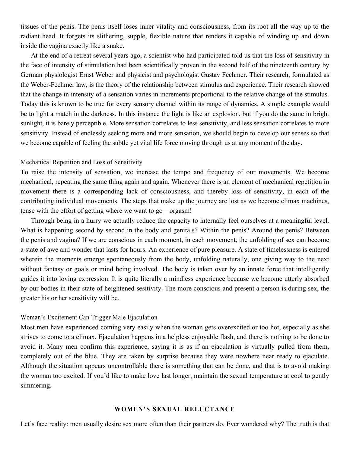tissues of the penis. The penis itself loses inner vitality and consciousness, from its root all the way up to the radiant head. It forgets its slithering, supple, flexible nature that renders it capable of winding up and down inside the vagina exactly like a snake.

At the end of a retreat several years ago, a scientist who had participated told us that the loss of sensitivity in the face of intensity of stimulation had been scientifically proven in the second half of the nineteenth century by German physiologist Ernst Weber and physicist and psychologist Gustav Fechmer. Their research, formulated as the Weber-Fechmer law, is the theory of the relationship between stimulus and experience. Their research showed that the change in intensity of a sensation varies in increments proportional to the relative change of the stimulus. Today this is known to be true for every sensory channel within its range of dynamics. A simple example would be to light a match in the darkness. In this instance the light is like an explosion, but if you do the same in bright sunlight, it is barely perceptible. More sensation correlates to less sensitivity, and less sensation correlates to more sensitivity. Instead of endlessly seeking more and more sensation, we should begin to develop our senses so that we become capable of feeling the subtle yet vital life force moving through us at any moment of the day.

#### Mechanical Repetition and Loss of Sensitivity

To raise the intensity of sensation, we increase the tempo and frequency of our movements. We become mechanical, repeating the same thing again and again. Whenever there is an element of mechanical repetition in movement there is a corresponding lack of consciousness, and thereby loss of sensitivity, in each of the contributing individual movements. The steps that make up the journey are lost as we become climax machines, tense with the effort of getting where we want to go—orgasm!

Through being in a hurry we actually reduce the capacity to internally feel ourselves at a meaningful level. What is happening second by second in the body and genitals? Within the penis? Around the penis? Between the penis and vagina? If we are conscious in each moment, in each movement, the unfolding of sex can become a state of awe and wonder that lasts for hours. An experience of pure pleasure. A state of timelessness is entered wherein the moments emerge spontaneously from the body, unfolding naturally, one giving way to the next without fantasy or goals or mind being involved. The body is taken over by an innate force that intelligently guides it into loving expression. It is quite literally a mindless experience because we become utterly absorbed by our bodies in their state of heightened sesitivity. The more conscious and present a person is during sex, the greater his or her sensitivity will be.

#### Woman's Excitement Can Trigger Male Ejaculation

Most men have experienced coming very easily when the woman gets overexcited or too hot, especially as she strives to come to a climax. Ejaculation happens in a helpless enjoyable flash, and there is nothing to be done to avoid it. Many men confirm this experience, saying it is as if an ejaculation is virtually pulled from them, completely out of the blue. They are taken by surprise because they were nowhere near ready to ejaculate. Although the situation appears uncontrollable there is something that can be done, and that is to avoid making the woman too excited. If you'd like to make love last longer, maintain the sexual temperature at cool to gently simmering.

## **WOMEN'S SEXUAL RELUCTANCE**

Let's face reality: men usually desire sex more often than their partners do. Ever wondered why? The truth is that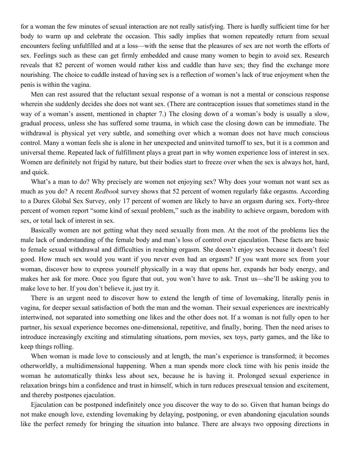for a woman the few minutes of sexual interaction are not really satisfying. There is hardly sufficient time for her body to warm up and celebrate the occasion. This sadly implies that women repeatedly return from sexual encounters feeling unfulfilled and at a loss—with the sense that the pleasures of sex are not worth the efforts of sex. Feelings such as these can get firmly embedded and cause many women to begin to avoid sex. Research reveals that 82 percent of women would rather kiss and cuddle than have sex; they find the exchange more nourishing. The choice to cuddle instead of having sex is a reflection of women's lack of true enjoyment when the penis is within the vagina.

Men can rest assured that the reluctant sexual response of a woman is not a mental or conscious response wherein she suddenly decides she does not want sex. (There are contraception issues that sometimes stand in the way of a woman's assent, mentioned in chapter 7.) The closing down of a woman's body is usually a slow, gradual process, unless she has suffered some trauma, in which case the closing down can be immediate. The withdrawal is physical yet very subtle, and something over which a woman does not have much conscious control. Many a woman feels she is alone in her unexpected and uninvited turnoff to sex, but it is a common and universal theme. Repeated lack of fulfillment plays a great part in why women experience loss of interest in sex. Women are definitely not frigid by nature, but their bodies start to freeze over when the sex is always hot, hard, and quick.

What's a man to do? Why precisely are women not enjoying sex? Why does your woman not want sex as much as you do? A recent *Redbook* survey shows that 52 percent of women regularly fake orgasms. According to a Durex Global Sex Survey, only 17 percent of women are likely to have an orgasm during sex. Forty-three percent of women report "some kind of sexual problem," such as the inability to achieve orgasm, boredom with sex, or total lack of interest in sex.

Basically women are not getting what they need sexually from men. At the root of the problems lies the male lack of understanding of the female body and man's loss of control over ejaculation. These facts are basic to female sexual withdrawal and difficulties in reaching orgasm. She doesn't enjoy sex because it doesn't feel good. How much sex would you want if you never even had an orgasm? If you want more sex from your woman, discover how to express yourself physically in a way that opens her, expands her body energy, and makes her ask for more. Once you figure that out, you won't have to ask. Trust us—she'll be asking you to make love to her. If you don't believe it, just try it.

There is an urgent need to discover how to extend the length of time of lovemaking, literally penis in vagina, for deeper sexual satisfaction of both the man and the woman. Their sexual experiences are inextricably intertwined, not separated into something one likes and the other does not. If a woman is not fully open to her partner, his sexual experience becomes one-dimensional, repetitive, and finally, boring. Then the need arises to introduce increasingly exciting and stimulating situations, porn movies, sex toys, party games, and the like to keep things rolling.

When woman is made love to consciously and at length, the man's experience is transformed; it becomes otherworldly, a multidimensional happening. When a man spends more clock time with his penis inside the woman he automatically thinks less about sex, because he is having it. Prolonged sexual experience in relaxation brings him a confidence and trust in himself, which in turn reduces presexual tension and excitement, and thereby postpones ejaculation.

Ejaculation can be postponed indefinitely once you discover the way to do so. Given that human beings do not make enough love, extending lovemaking by delaying, postponing, or even abandoning ejaculation sounds like the perfect remedy for bringing the situation into balance. There are always two opposing directions in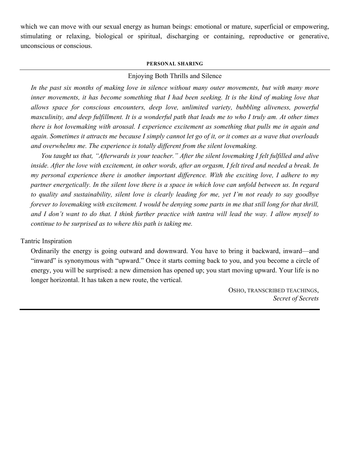which we can move with our sexual energy as human beings: emotional or mature, superficial or empowering, stimulating or relaxing, biological or spiritual, discharging or containing, reproductive or generative, unconscious or conscious.

#### **PERSONAL SHARING**

### Enjoying Both Thrills and Silence

*In the past six months of making love in silence without many outer movements, but with many more inner movements, it has become something that I had been seeking. It is the kind of making love that allows space for conscious encounters, deep love, unlimited variety, bubbling aliveness, powerful masculinity, and deep fulfillment. It is a wonderful path that leads me to who I truly am. At other times there is hot lovemaking with arousal. I experience excitement as something that pulls me in again and again. Sometimes it attracts me because I simply cannot let go of it, or it comes as a wave that overloads and overwhelms me. The experience is totally different from the silent lovemaking.*

*You taught us that, "Afterwards is your teacher." After the silent lovemaking I felt fulfilled and alive inside. After the love with excitement, in other words, after an orgasm, I felt tired and needed a break. In my personal experience there is another important difference. With the exciting love, I adhere to my partner energetically. In the silent love there is a space in which love can unfold between us. In regard to quality and sustainability, silent love is clearly leading for me, yet I'm not ready to say goodbye forever to lovemaking with excitement. I would be denying some parts in me that still long for that thrill, and I don't want to do that. I think further practice with tantra will lead the way. I allow myself to continue to be surprised as to where this path is taking me.* 

### Tantric Inspiration

Ordinarily the energy is going outward and downward. You have to bring it backward, inward—and "inward" is synonymous with "upward." Once it starts coming back to you, and you become a circle of energy, you will be surprised: a new dimension has opened up; you start moving upward. Your life is no longer horizontal. It has taken a new route, the vertical.

> OSHO, TRANSCRIBED TEACHINGS, *Secret of Secrets*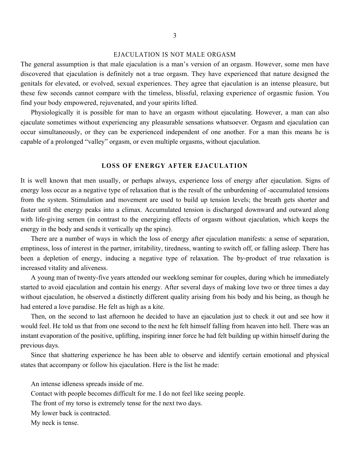### EJACULATION IS NOT MALE ORGASM

The general assumption is that male ejaculation is a man's version of an orgasm. However, some men have discovered that ejaculation is definitely not a true orgasm. They have experienced that nature designed the genitals for elevated, or evolved, sexual experiences. They agree that ejaculation is an intense pleasure, but these few seconds cannot compare with the timeless, blissful, relaxing experience of orgasmic fusion. You find your body empowered, rejuvenated, and your spirits lifted.

Physiologically it is possible for man to have an orgasm without ejaculating. However, a man can also ejaculate sometimes without experiencing any pleasurable sensations whatsoever. Orgasm and ejaculation can occur simultaneously, or they can be experienced independent of one another. For a man this means he is capable of a prolonged "valley" orgasm, or even multiple orgasms, without ejaculation.

### **LOSS OF ENERGY AFTER EJACULATION**

It is well known that men usually, or perhaps always, experience loss of energy after ejaculation. Signs of energy loss occur as a negative type of relaxation that is the result of the unburdening of -accumulated tensions from the system. Stimulation and movement are used to build up tension levels; the breath gets shorter and faster until the energy peaks into a climax. Accumulated tension is discharged downward and outward along with life-giving semen (in contrast to the energizing effects of orgasm without ejaculation, which keeps the energy in the body and sends it vertically up the spine).

There are a number of ways in which the loss of energy after ejaculation manifests: a sense of separation, emptiness, loss of interest in the partner, irritability, tiredness, wanting to switch off, or falling asleep. There has been a depletion of energy, inducing a negative type of relaxation. The by-product of true relaxation is increased vitality and aliveness.

A young man of twenty-five years attended our weeklong seminar for couples, during which he immediately started to avoid ejaculation and contain his energy. After several days of making love two or three times a day without ejaculation, he observed a distinctly different quality arising from his body and his being, as though he had entered a love paradise. He felt as high as a kite.

Then, on the second to last afternoon he decided to have an ejaculation just to check it out and see how it would feel. He told us that from one second to the next he felt himself falling from heaven into hell. There was an instant evaporation of the positive, uplifting, inspiring inner force he had felt building up within himself during the previous days.

Since that shattering experience he has been able to observe and identify certain emotional and physical states that accompany or follow his ejaculation. Here is the list he made:

An intense idleness spreads inside of me.

Contact with people becomes difficult for me. I do not feel like seeing people.

The front of my torso is extremely tense for the next two days.

My lower back is contracted.

My neck is tense.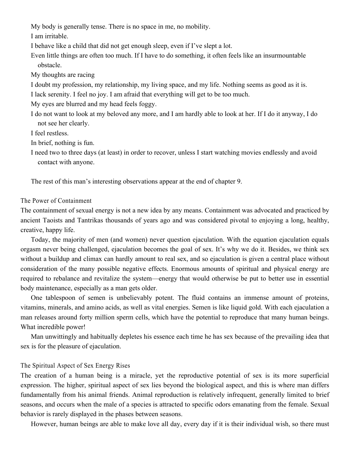My body is generally tense. There is no space in me, no mobility.

I am irritable.

I behave like a child that did not get enough sleep, even if I've slept a lot.

Even little things are often too much. If I have to do something, it often feels like an insurmountable obstacle.

My thoughts are racing

I doubt my profession, my relationship, my living space, and my life. Nothing seems as good as it is.

I lack serenity. I feel no joy. I am afraid that everything will get to be too much.

My eyes are blurred and my head feels foggy.

I do not want to look at my beloved any more, and I am hardly able to look at her. If I do it anyway, I do not see her clearly.

I feel restless.

In brief, nothing is fun.

I need two to three days (at least) in order to recover, unless I start watching movies endlessly and avoid contact with anyone.

The rest of this man's interesting observations appear at the end of chapter 9.

## The Power of Containment

The containment of sexual energy is not a new idea by any means. Containment was advocated and practiced by ancient Taoists and Tantrikas thousands of years ago and was considered pivotal to enjoying a long, healthy, creative, happy life.

Today, the majority of men (and women) never question ejaculation. With the equation ejaculation equals orgasm never being challenged, ejaculation becomes the goal of sex. It's why we do it. Besides, we think sex without a buildup and climax can hardly amount to real sex, and so ejaculation is given a central place without consideration of the many possible negative effects. Enormous amounts of spiritual and physical energy are required to rebalance and revitalize the system—energy that would otherwise be put to better use in essential body maintenance, especially as a man gets older.

One tablespoon of semen is unbelievably potent. The fluid contains an immense amount of proteins, vitamins, minerals, and amino acids, as well as vital energies. Semen is like liquid gold. With each ejaculation a man releases around forty million sperm cells, which have the potential to reproduce that many human beings. What incredible power!

Man unwittingly and habitually depletes his essence each time he has sex because of the prevailing idea that sex is for the pleasure of ejaculation.

## The Spiritual Aspect of Sex Energy Rises

The creation of a human being is a miracle, yet the reproductive potential of sex is its more superficial expression. The higher, spiritual aspect of sex lies beyond the biological aspect, and this is where man differs fundamentally from his animal friends. Animal reproduction is relatively infrequent, generally limited to brief seasons, and occurs when the male of a species is attracted to specific odors emanating from the female. Sexual behavior is rarely displayed in the phases between seasons.

However, human beings are able to make love all day, every day if it is their individual wish, so there must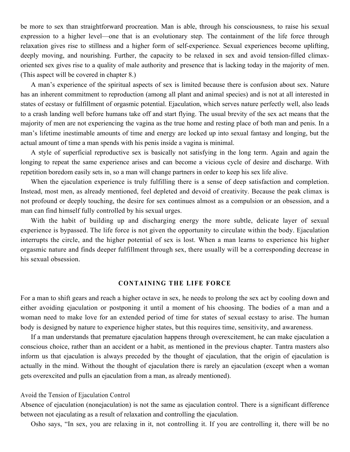be more to sex than straightforward procreation. Man is able, through his consciousness, to raise his sexual expression to a higher level—one that is an evolutionary step. The containment of the life force through relaxation gives rise to stillness and a higher form of self-experience. Sexual experiences become uplifting, deeply moving, and nourishing. Further, the capacity to be relaxed in sex and avoid tension-filled climaxoriented sex gives rise to a quality of male authority and presence that is lacking today in the majority of men. (This aspect will be covered in chapter 8.)

A man's experience of the spiritual aspects of sex is limited because there is confusion about sex. Nature has an inherent commitment to reproduction (among all plant and animal species) and is not at all interested in states of ecstasy or fulfillment of orgasmic potential. Ejaculation, which serves nature perfectly well, also leads to a crash landing well before humans take off and start flying. The usual brevity of the sex act means that the majority of men are not experiencing the vagina as the true home and resting place of both man and penis. In a man's lifetime inestimable amounts of time and energy are locked up into sexual fantasy and longing, but the actual amount of time a man spends with his penis inside a vagina is minimal.

A style of superficial reproductive sex is basically not satisfying in the long term. Again and again the longing to repeat the same experience arises and can become a vicious cycle of desire and discharge. With repetition boredom easily sets in, so a man will change partners in order to keep his sex life alive.

When the ejaculation experience is truly fulfilling there is a sense of deep satisfaction and completion. Instead, most men, as already mentioned, feel depleted and devoid of creativity. Because the peak climax is not profound or deeply touching, the desire for sex continues almost as a compulsion or an obsession, and a man can find himself fully controlled by his sexual urges.

With the habit of building up and discharging energy the more subtle, delicate layer of sexual experience is bypassed. The life force is not given the opportunity to circulate within the body. Ejaculation interrupts the circle, and the higher potential of sex is lost. When a man learns to experience his higher orgasmic nature and finds deeper fulfillment through sex, there usually will be a corresponding decrease in his sexual obsession.

#### **CONTAINING THE LIFE FORCE**

For a man to shift gears and reach a higher octave in sex, he needs to prolong the sex act by cooling down and either avoiding ejaculation or postponing it until a moment of his choosing. The bodies of a man and a woman need to make love for an extended period of time for states of sexual ecstasy to arise. The human body is designed by nature to experience higher states, but this requires time, sensitivity, and awareness.

If a man understands that premature ejaculation happens through overexcitement, he can make ejaculation a conscious choice, rather than an accident or a habit, as mentioned in the previous chapter. Tantra masters also inform us that ejaculation is always preceded by the thought of ejaculation, that the origin of ejaculation is actually in the mind. Without the thought of ejaculation there is rarely an ejaculation (except when a woman gets overexcited and pulls an ejaculation from a man, as already mentioned).

Avoid the Tension of Ejaculation Control

Absence of ejaculation (nonejaculation) is not the same as ejaculation control. There is a significant difference between not ejaculating as a result of relaxation and controlling the ejaculation.

Osho says, "In sex, you are relaxing in it, not controlling it. If you are controlling it, there will be no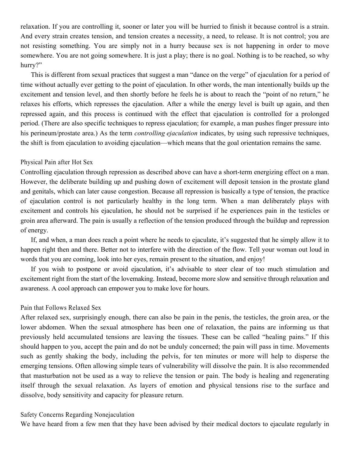relaxation. If you are controlling it, sooner or later you will be hurried to finish it because control is a strain. And every strain creates tension, and tension creates a necessity, a need, to release. It is not control; you are not resisting something. You are simply not in a hurry because sex is not happening in order to move somewhere. You are not going somewhere. It is just a play; there is no goal. Nothing is to be reached, so why hurry?"

This is different from sexual practices that suggest a man "dance on the verge" of ejaculation for a period of time without actually ever getting to the point of ejaculation. In other words, the man intentionally builds up the excitement and tension level, and then shortly before he feels he is about to reach the "point of no return," he relaxes his efforts, which represses the ejaculation. After a while the energy level is built up again, and then repressed again, and this process is continued with the effect that ejaculation is controlled for a prolonged period. (There are also specific techniques to repress ejaculation; for example, a man pushes finger pressure into his perineum/prostate area.) As the term *controlling ejaculation* indicates, by using such repressive techniques, the shift is from ejaculation to avoiding ejaculation—which means that the goal orientation remains the same.

## Physical Pain after Hot Sex

Controlling ejaculation through repression as described above can have a short-term energizing effect on a man. However, the deliberate building up and pushing down of excitement will deposit tension in the prostate gland and genitals, which can later cause congestion. Because all repression is basically a type of tension, the practice of ejaculation control is not particularly healthy in the long term. When a man deliberately plays with excitement and controls his ejaculation, he should not be surprised if he experiences pain in the testicles or groin area afterward. The pain is usually a reflection of the tension produced through the buildup and repression of energy.

If, and when, a man does reach a point where he needs to ejaculate, it's suggested that he simply allow it to happen right then and there. Better not to interfere with the direction of the flow. Tell your woman out loud in words that you are coming, look into her eyes, remain present to the situation, and enjoy!

If you wish to postpone or avoid ejaculation, it's advisable to steer clear of too much stimulation and excitement right from the start of the lovemaking. Instead, become more slow and sensitive through relaxation and awareness. A cool approach can empower you to make love for hours.

#### Pain that Follows Relaxed Sex

After relaxed sex, surprisingly enough, there can also be pain in the penis, the testicles, the groin area, or the lower abdomen. When the sexual atmosphere has been one of relaxation, the pains are informing us that previously held accumulated tensions are leaving the tissues. These can be called "healing pains." If this should happen to you, accept the pain and do not be unduly concerned; the pain will pass in time. Movements such as gently shaking the body, including the pelvis, for ten minutes or more will help to disperse the emerging tensions. Often allowing simple tears of vulnerability will dissolve the pain. It is also recommended that masturbation not be used as a way to relieve the tension or pain. The body is healing and regenerating itself through the sexual relaxation. As layers of emotion and physical tensions rise to the surface and dissolve, body sensitivity and capacity for pleasure return.

#### Safety Concerns Regarding Nonejaculation

We have heard from a few men that they have been advised by their medical doctors to ejaculate regularly in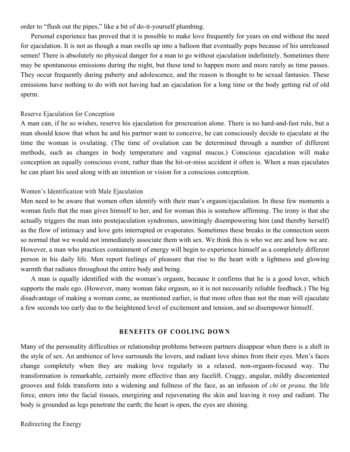order to "flush out the pipes," like a bit of do-it-yourself plumbing.

Personal experience has proved that it is possible to make love frequently for years on end without the need for ejaculation. It is not as though a man swells up into a balloon that eventually pops because of his unreleased semen! There is absolutely no physical danger for a man to go without ejaculation indefinitely. Sometimes there may be spontaneous emissions during the night, but these tend to happen more and more rarely as time passes. They occur frequently during puberty and adolescence, and the reason is thought to be sexual fantasies. These emissions have nothing to do with not having had an ejaculation for a long time or the body getting rid of old sperm.

### Reserve Ejaculation for Conception

A man can, if he so wishes, reserve his ejaculation for procreation alone. There is no hard-and-fast rule, but a man should know that when he and his partner want to conceive, he can consciously decide to ejaculate at the time the woman is ovulating. (The time of ovulation can be determined through a number of different methods, such as changes in body temperature and vaginal mucus.) Conscious ejaculation will make conception an equally conscious event, rather than the hit-or-miss accident it often is. When a man ejaculates he can plant his seed along with an intention or vision for a conscious conception.

### Women's Identification with Male Ejaculation

Men need to be aware that women often identify with their man's orgasm/ejaculation. In these few moments a woman feels that the man gives himself to her, and for woman this is somehow affirming. The irony is that she actually triggers the man into postejaculation syndromes, unwittingly disempowering him (and thereby herself) as the flow of intimacy and love gets interrupted or evaporates. Sometimes these breaks in the connection seem so normal that we would not immediately associate them with sex. We think this is who we are and how we are. However, a man who practices containment of energy will begin to experience himself as a completely different person in his daily life. Men report feelings of pleasure that rise to the heart with a lightness and glowing warmth that radiates throughout the entire body and being.

A man is equally identified with the woman's orgasm, because it confirms that he is a good lover, which supports the male ego. (However, many woman fake orgasm, so it is not necessarily reliable feedback.) The big disadvantage of making a woman come, as mentioned earlier, is that more often than not the man will ejaculate a few seconds too early due to the heightened level of excitement and tension, and so disempower himself.

#### **BENEFITS OF COOLING DOWN**

Many of the personality difficulties or relationship problems between partners disappear when there is a shift in the style of sex. An ambience of love surrounds the lovers, and radiant love shines from their eyes. Men's faces change completely when they are making love regularly in a relaxed, non-orgasm-focused way. The transformation is remarkable, certainly more effective than any facelift. Craggy, angular, mildly discontented grooves and folds transform into a widening and fullness of the face, as an infusion of *chi* or *prana,* the life force, enters into the facial tissues, energizing and rejuvenating the skin and leaving it rosy and radiant. The body is grounded as legs penetrate the earth; the heart is open, the eyes are shining.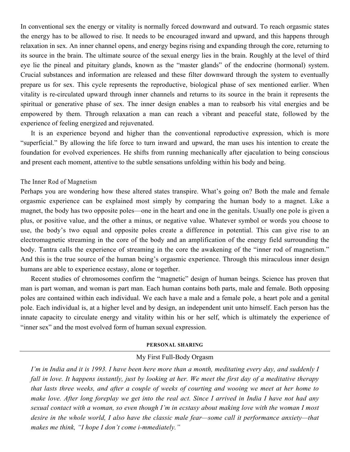In conventional sex the energy or vitality is normally forced downward and outward. To reach orgasmic states the energy has to be allowed to rise. It needs to be encouraged inward and upward, and this happens through relaxation in sex. An inner channel opens, and energy begins rising and expanding through the core, returning to its source in the brain. The ultimate source of the sexual energy lies in the brain. Roughly at the level of third eye lie the pineal and pituitary glands, known as the "master glands" of the endocrine (hormonal) system. Crucial substances and information are released and these filter downward through the system to eventually prepare us for sex. This cycle represents the reproductive, biological phase of sex mentioned earlier. When vitality is re-circulated upward through inner channels and returns to its source in the brain it represents the spiritual or generative phase of sex. The inner design enables a man to reabsorb his vital energies and be empowered by them. Through relaxation a man can reach a vibrant and peaceful state, followed by the experience of feeling energized and rejuvenated.

It is an experience beyond and higher than the conventional reproductive expression, which is more "superficial." By allowing the life force to turn inward and upward, the man uses his intention to create the foundation for evolved experiences. He shifts from running mechanically after ejaculation to being conscious and present each moment, attentive to the subtle sensations unfolding within his body and being.

### The Inner Rod of Magnetism

Perhaps you are wondering how these altered states transpire. What's going on? Both the male and female orgasmic experience can be explained most simply by comparing the human body to a magnet. Like a magnet, the body has two opposite poles—one in the heart and one in the genitals. Usually one pole is given a plus, or positive value, and the other a minus, or negative value. Whatever symbol or words you choose to use, the body's two equal and opposite poles create a difference in potential. This can give rise to an electromagnetic streaming in the core of the body and an amplification of the energy field surrounding the body. Tantra calls the experience of streaming in the core the awakening of the "inner rod of magnetism." And this is the true source of the human being's orgasmic experience. Through this miraculous inner design humans are able to experience ecstasy, alone or together.

Recent studies of chromosomes confirm the "magnetic" design of human beings. Science has proven that man is part woman, and woman is part man. Each human contains both parts, male and female. Both opposing poles are contained within each individual. We each have a male and a female pole, a heart pole and a genital pole. Each individual is, at a higher level and by design, an independent unit unto himself. Each person has the innate capacity to circulate energy and vitality within his or her self, which is ultimately the experience of "inner sex" and the most evolved form of human sexual expression.

#### **PERSONAL SHARING**

#### My First Full-Body Orgasm

*I'm in India and it is 1993. I have been here more than a month, meditating every day, and suddenly I fall in love. It happens instantly, just by looking at her. We meet the first day of a meditative therapy that lasts three weeks, and after a couple of weeks of courting and wooing we meet at her home to make love. After long foreplay we get into the real act. Since I arrived in India I have not had any sexual contact with a woman, so even though I'm in ecstasy about making love with the woman I most desire in the whole world, I also have the classic male fear—some call it performance anxiety—that makes me think, "I hope I don't come i-mmediately."*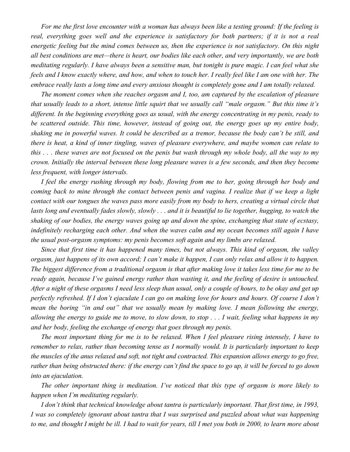*For me the first love encounter with a woman has always been like a testing ground: If the feeling is real, everything goes well and the experience is satisfactory for both partners; if it is not a real energetic feeling but the mind comes between us, then the experience is not satisfactory. On this night all best conditions are met—there is heart, our bodies like each other, and very importantly, we are both meditating regularly. I have always been a sensitive man, but tonight is pure magic. I can feel what she feels and I know exactly where, and how, and when to touch her. I really feel like I am one with her. The embrace really lasts a long time and every anxious thought is completely gone and I am totally relaxed.* 

*The moment comes when she reaches orgasm and I, too, am captured by the escalation of pleasure that usually leads to a short, intense little squirt that we usually call "male orgasm." But this time it's different. In the beginning everything goes as usual, with the energy concentrating in my penis, ready to be scattered outside. This time, however, instead of going out, the energy goes up my entire body, shaking me in powerful waves. It could be described as a tremor, because the body can't be still, and there is heat, a kind of inner tingling, waves of pleasure everywhere, and maybe women can relate to this . . . these waves are not focused on the penis but wash through my whole body, all the way to my crown. Initially the interval between these long pleasure waves is a few seconds, and then they become less frequent, with longer intervals.* 

*I feel the energy rushing through my body, flowing from me to her, going through her body and coming back to mine through the contact between penis and vagina. I realize that if we keep a light contact with our tongues the waves pass more easily from my body to hers, creating a virtual circle that*  lasts long and eventually fades slowly, slowly . . . and it is beautiful to lie together, hugging, to watch the *shaking of our bodies, the energy waves going up and down the spine, exchanging that state of ecstasy, indefinitely recharging each other. And when the waves calm and my ocean becomes still again I have the usual post-orgasm symptoms: my penis becomes soft again and my limbs are relaxed.*

*Since that first time it has happened many times, but not always. This kind of orgasm, the valley orgasm, just happens of its own accord; I can't make it happen, I can only relax and allow it to happen. The biggest difference from a traditional orgasm is that after making love it takes less time for me to be ready again, because I've gained energy rather than wasting it, and the feeling of desire is untouched. After a night of these orgasms I need less sleep than usual, only a couple of hours, to be okay and get up perfectly refreshed. If I don't ejaculate I can go on making love for hours and hours. Of course I don't mean the boring "in and out" that we usually mean by making love. I mean following the energy, allowing the energy to guide me to move, to slow down, to stop . . . I wait, feeling what happens in my and her body, feeling the exchange of energy that goes through my penis.* 

*The most important thing for me is to be relaxed. When I feel pleasure rising intensely, I have to remember to relax, rather than becoming tense as I normally would. It is particularly important to keep the muscles of the anus relaxed and soft, not tight and contracted. This expansion allows energy to go free, rather than being obstructed there: if the energy can't find the space to go up, it will be forced to go down into an ejaculation.* 

*The other important thing is meditation. I've noticed that this type of orgasm is more likely to happen when I'm meditating regularly.* 

*I don't think that technical knowledge about tantra is particularly important. That first time, in 1993, I was so completely ignorant about tantra that I was surprised and puzzled about what was happening*  to me, and thought I might be ill. I had to wait for years, till I met you both in 2000, to learn more about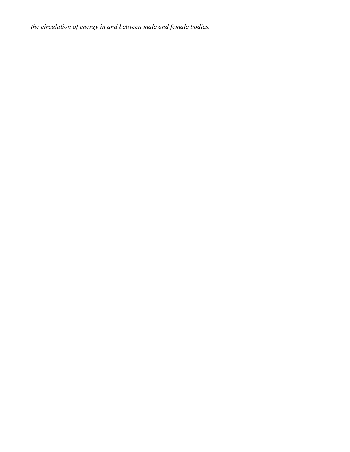*the circulation of energy in and between male and female bodies.*